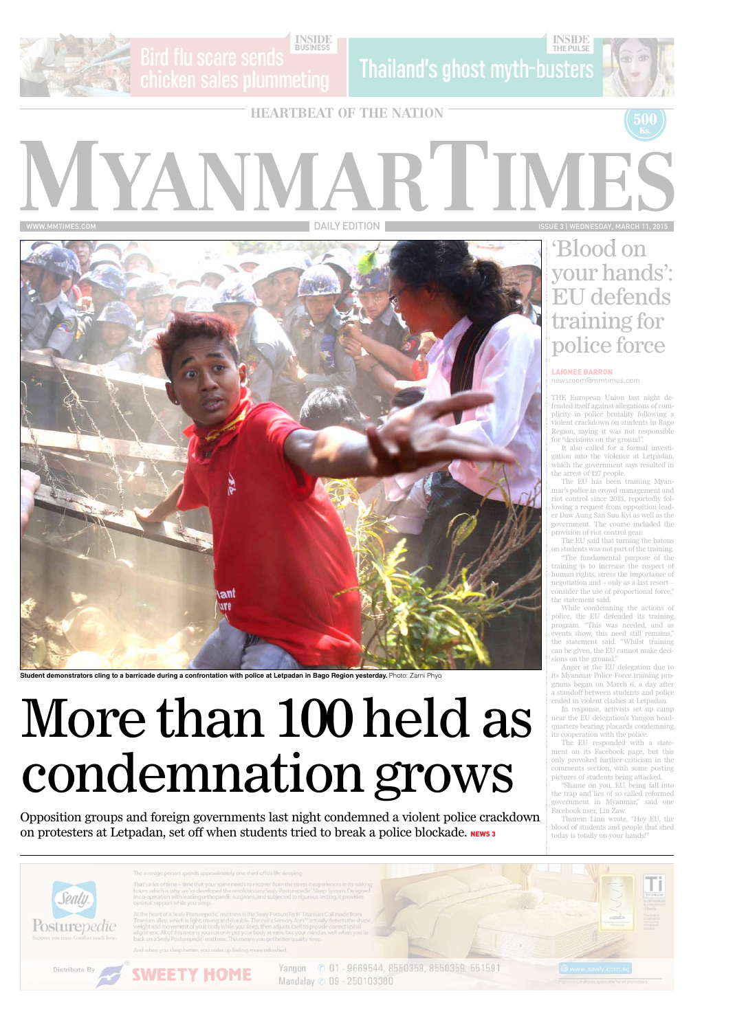

**INSIDE**<br>BUSINESS Bird flu scare sends

Thailand's ghost myth-busters

# MYANMAR'I'IM www.mmtimes.com DAILY EDITION ISSUE 3 | Wednesday, March 11, 2015



Student demonstrators cling to a barricade during a confrontation with police at Letpadan in Bago Region yesterday. Photo: Zarni Phyo

**500**



### 'Blood on your hands': EU defends training for police force

THE European Union last night defended itself against allegations of complicity in police brutality following a violent crackdown on students in Bago Region, saying it was not responsible for "decisions on the ground".

It also called for a formal investigation into the violence at Letpadan, which the government says resulted in the arrest of 127 people.

The EU has been training Myanmar's police in crowd management and riot control since 2013, reportedly following a request from opposition leader Daw Aung San Suu Kyi as well as the government. The course included the provision of riot control gear.

The EU said that turning the batons on students was not part of the training.

"The fundamental purpose of the training is to increase the respect of human rights, stress the importance of negotiation and – only as a last resort – consider the use of proportional force," the statement said.

#### Opposition groups and foreign governments last night condemned a violent police crackdown on protesters at Letpadan, set off when students tried to break a police blockade. NEWS3

While condemning the actions of police, the EU defended its training program. "This was needed, and as events show, this need still remains," the statement said. "Whilst training can be given, the EU cannot make decisions on the ground."

Anger at the EU delegation due to its Myanmar Police Force training programs began on March 6, a day after a standoff between students and police ended in violent clashes at Letpadan.

In response, activists set up camp near the EU delegation's Yangon headquarters bearing placards condemning its cooperation with the police.

The EU responded with a statement on its Facebook page, but this only provoked further criticism in the comments section, with some posting pictures of students being attacked.

"Shame on you, EU, being fall into the trap and lies of so called reformed

government in Myanmar," said one Facebook user, Lin Zaw.

Thurein Linn wrote, "Hey EU, the blood of students and people that shed today is totally on your hands!"



#### Laignee Barron newsroom@mmtimes.com

# More than 100 held as condemnation grows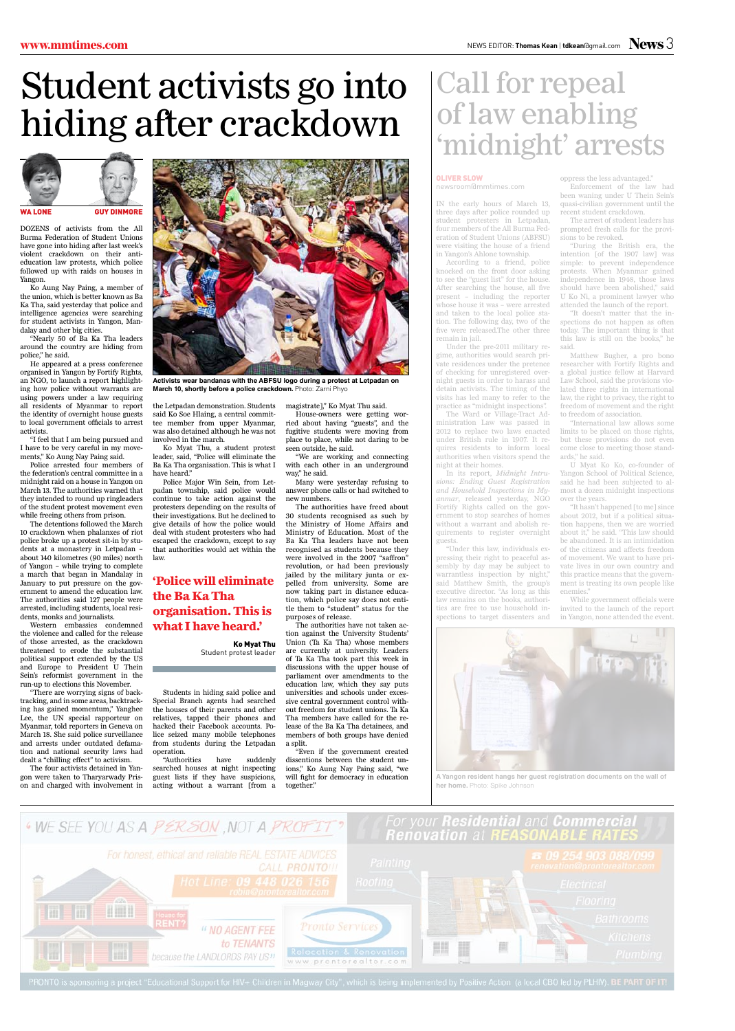## Student activists go into hiding after crackdown

DOZENS of activists from the All Burma Federation of Student Unions have gone into hiding after last week's violent crackdown on their antieducation law protests, which police followed up with raids on houses in Yangon.

Ko Aung Nay Paing, a member of the union, which is better known as Ba Ka Tha, said yesterday that police and intelligence agencies were searching for student activists in Yangon, Mandalay and other big cities.

"Nearly 50 of Ba Ka Tha leaders around the country are hiding from police," he said.

He appeared at a press conference organised in Yangon by Fortify Rights, an NGO, to launch a report highlighting how police without warrants are using powers under a law requiring all residents of Myanmar to report the identity of overnight house guests to local government officials to arrest activists.

"I feel that I am being pursued and I have to be very careful in my movements," Ko Aung Nay Paing said.

Police arrested four members of the federation's central committee in a midnight raid on a house in Yangon on March 13. The authorities warned that they intended to round up ringleaders of the student protest movement even while freeing others from prison.

The detentions followed the March 10 crackdown when phalanxes of riot police broke up a protest sit-in by students at a monastery in Letpadan – about 140 kilometres (90 miles) north of Yangon – while trying to complete a march that began in Mandalay in January to put pressure on the government to amend the education law. The authorities said 127 people were arrested, including students, local residents, monks and journalists.

"We are working and connecting with each other in an underground way," he said.

Western embassies condemned the violence and called for the release of those arrested, as the crackdown threatened to erode the substantial political support extended by the US and Europe to President U Thein Sein's reformist government in the run-up to elections this November.

"There are worrying signs of backtracking, and in some areas, backtracking has gained momentum," Yanghee Lee, the UN special rapporteur on Myanmar, told reporters in Geneva on March 18. She said police surveillance and arrests under outdated defamation and national security laws had dealt a "chilling effect" to activism.

The four activists detained in Yangon were taken to Tharyarwady Prison and charged with involvement in



**Activists wear bandanas with the ABFSU logo during a protest at Letpadan on March 10. shortly before a police crackdown.** Photo: Zarni Phyo

the Letpadan demonstration. Students said Ko Soe Hlaing, a central committee member from upper Myanmar, was also detained although he was not involved in the march.

Ko Myat Thu, a student protest leader, said, "Police will eliminate the Ba Ka Tha organisation. This is what I have heard."

Police Major Win Sein, from Letpadan township, said police would continue to take action against the protesters depending on the results of their investigations. But he declined to give details of how the police would deal with student protesters who had escaped the crackdown, except to say that authorities would act within the law.

Students in hiding said police and Special Branch agents had searched the houses of their parents and other relatives, tapped their phones and hacked their Facebook accounts. Police seized many mobile telephones from students during the Letpadan operation.

"Authorities have suddenly searched houses at night inspecting guest lists if they have suspicions, acting without a warrant [from a

magistrate]," Ko Myat Thu said.

House-owners were getting worried about having "guests", and the fugitive students were moving from place to place, while not daring to be seen outside, he said.

Many were yesterday refusing to answer phone calls or had switched to new numbers.

The authorities have freed about 30 students recognised as such by the Ministry of Home Affairs and Ministry of Education. Most of the Ba Ka Tha leaders have not been recognised as students because they were involved in the 2007 "saffron" revolution, or had been previously jailed by the military junta or expelled from university. Some are now taking part in distance education, which police say does not entitle them to "student" status for the purposes of release.

"It hasn't happened [to me] since about 2012, but if a political situation happens, then we are worried about it," he said. "This law should be abandoned. It is an intimidation of the citizens and affects freedom of movement. We want to have private lives in our own country and this practice means that the government is treating its own people like enemies.'

The authorities have not taken action against the University Students' Union (Ta Ka Tha) whose members are currently at university. Leaders of Ta Ka Tha took part this week in discussions with the upper house of parliament over amendments to the education law, which they say puts universities and schools under excessive central government control without freedom for student unions. Ta Ka Tha members have called for the release of the Ba Ka Tha detainees, and members of both groups have denied a split.

"Even if the government created dissentions between the student unions," Ko Aung Nay Paing said, "we will fight for democracy in education together."



**'Police will eliminate the Ba Ka Tha organisation. This is what I have heard.'**

> Ko Myat Thu Student protest leader

### Call for repeal of law enabling 'midnight' arrests

IN the early hours of March 13, three days after police rounded up student protesters in Letpadan, four members of the All Burma Federation of Student Unions (ABFSU) were visiting the house of a friend in Yangon's Ahlone township.

According to a friend, police knocked on the front door asking to see the "guest list" for the house. After searching the house, all five present – including the reporter whose house it was – were arrested and taken to the local police station. The following day, two of the five were released.The other three remain in jail.

Under the pre-2011 military regime, authorities would search private residences under the pretence of checking for unregistered overnight guests in order to harass and detain activists. The timing of the visits has led many to refer to the practice as "midnight inspections".

The Ward or Village-Tract Administration Law was passed in 2012 to replace two laws enacted under British rule in 1907. It requires residents to inform local authorities when visitors spend the night at their homes.

In its report, *Midnight Intrusions: Ending Guest Registration and Household Inspections in Myanmar*, released yesterday, NGO Fortify Rights called on the government to stop searches of homes without a warrant and abolish requirements to register overnight guests.

"Under this law, individuals expressing their right to peaceful assembly by day may be subject to warrantless inspection by night," said Matthew Smith, the group's executive director. "As long as this law remains on the books, authorities are free to use household inspections to target dissenters and oppress the less advantaged."

Enforcement of the law had been waning under U Thein Sein's quasi-civilian government until the recent student crackdown.

The arrest of student leaders has prompted fresh calls for the provisions to be revoked.

"During the British era, the intention [of the 1907 law] was simple: to prevent independence protests. When Myanmar gained independence in 1948, those laws should have been abolished," said U Ko Ni, a prominent lawyer who attended the launch of the report.

"It doesn't matter that the inspections do not happen as often today. The important thing is that this law is still on the books," he said.

Matthew Bugher, a pro bono researcher with Fortify Rights and a global justice fellow at Harvard Law School, said the provisions violated three rights in international law, the right to privacy, the right to freedom of movement and the right to freedom of association.

"International law allows some limits to be placed on those rights, but these provisions do not even come close to meeting those standards," he said.

U Myat Ko Ko, co-founder of Yangon School of Political Science, said he had been subjected to almost a dozen midnight inspections over the years.

While government officials were invited to the launch of the report in Yangon, none attended the event.

#### Oliver Slow

newsroom@mmtimes.com



**A Yangon resident hangs her guest registration documents on the wall of her home.** Photo: Spike Johnson

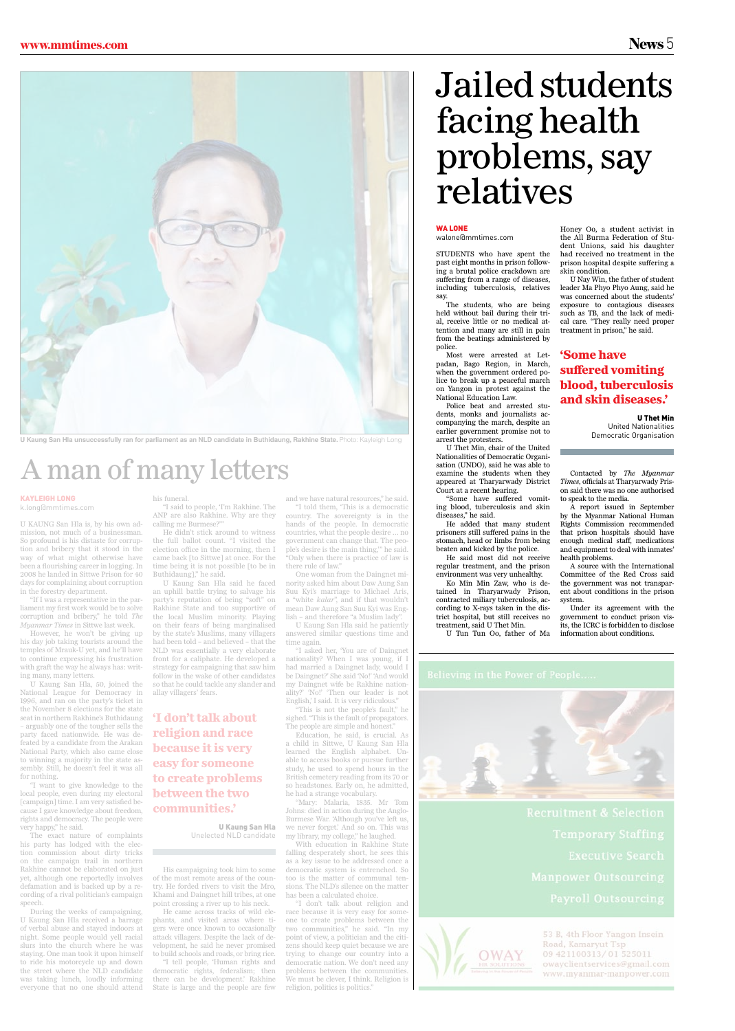## Jailed students facing health problems, say relatives

#### **WA LONE**

including tuberculosis, relatives

say.

The students, who are being held without bail during their trial, receive little or no medical attention and many are still in pain from the beatings administered by

police.

Most were arrested at Letpadan, Bago Region, in March, when the government ordered police to break up a peaceful march on Yangon in protest against the

National Education Law.

Police beat and arrested students, monks and journalists accompanying the march, despite an earlier government promise not to

arrest the protesters.

U Thet Min, chair of the United Nationalities of Democratic Organisation (UNDO), said he was able to examine the students when they appeared at Tharyarwady District Court at a recent hearing.

STUDENTS who have spent the past eight months in prison following a brutal police crackdown are suffering from a range of diseases, the All Burma Federation of Student Unions, said his daughter had received no treatment in the prison hospital despite suffering a skin condition. U Nay Win, the father of student

"Some have suffered vomiting blood, tuberculosis and skin

diseases," he said.

He added that many student prisoners still suffered pains in the stomach, head or limbs from being beaten and kicked by the police. He said most did not receive regular treatment, and the prison environment was very unhealthy. Ko Min Min Zaw, who is detained in Tharyarwady Prison, contracted miliary tuberculosis, according to X-rays taken in the district hospital, but still receives no treatment, said U Thet Min.

U Tun Tun Oo, father of Ma



Honey Oo, a student activist in

leader Ma Phyo Phyo Aung, said he was concerned about the students' exposure to contagious diseases such as TB, and the lack of medical care. "They really need proper treatment in prison," he said.

Contacted by *The Myanmar Times*, officials at Tharyarwady Prison said there was no one authorised to speak to the media.

A report issued in September by the Myanmar National Human Rights Commission recommended that prison hospitals should have enough medical staff, medications and equipment to deal with inmates' health problems.

A source with the International Committee of the Red Cross said the government was not transparent about conditions in the prison system.

Under its agreement with the government to conduct prison visits, the ICRC is forbidden to disclose information about conditions.

![](_page_3_Picture_34.jpeg)

### A man of many letters

U KAUNG San Hla is, by his own admission, not much of a businessman. So profound is his distaste for corruption and bribery that it stood in the way of what might otherwise have been a flourishing career in logging. In 2008 he landed in Sittwe Prison for 40 days for complaining about corruption in the forestry department.

"If I was a representative in the parliament my first work would be to solve corruption and bribery," he told *The Myanmar Times* in Sittwe last week.

However, he won't be giving up his day job taking tourists around the temples of Mrauk-U yet, and he'll have to continue expressing his frustration with graft the way he always has: writing many, many letters.

U Kaung San Hla, 50, joined the National League for Democracy in 1996, and ran on the party's ticket in the November 8 elections for the state seat in northern Rakhine's Buthidaung – arguably one of the tougher sells the party faced nationwide. He was defeated by a candidate from the Arakan National Party, which also came close to winning a majority in the state assembly. Still, he doesn't feel it was all for nothing.

"I want to give knowledge to the local people, even during my electoral

[campaign] time. I am very satisfied because I gave knowledge about freedom, rights and democracy. The people were very happy," he said.

The exact nature of complaints his party has lodged with the election commission about dirty tricks on the campaign trail in northern Rakhine cannot be elaborated on just yet, although one reportedly involves defamation and is backed up by a recording of a rival politician's campaign speech.

During the weeks of campaigning, U Kaung San Hla received a barrage of verbal abuse and stayed indoors at night. Some people would yell racial slurs into the church where he was staying. One man took it upon himself to ride his motorcycle up and down the street where the NLD candidate was taking lunch, loudly informing everyone that no one should attend his funeral.

"I said to people, 'I'm Rakhine. The ANP are also Rakhine. Why are they calling me Burmese?'"

He didn't stick around to witness the full ballot count. "I visited the election office in the morning, then I came back [to Sittwe] at once. For the time being it is not possible [to be in Buthidaung]," he said.

U Kaung San Hla said he faced an uphill battle trying to salvage his party's reputation of being "soft" on Rakhine State and too supportive of the local Muslim minority. Playing on their fears of being marginalised by the state's Muslims, many villagers had been told – and believed – that the NLD was essentially a very elaborate front for a caliphate. He developed a strategy for campaigning that saw him follow in the wake of other candidates so that he could tackle any slander and allay villagers' fears.

His campaigning took him to some of the most remote areas of the country. He forded rivers to visit the Mro, Khami and Daingnet hill tribes, at one point crossing a river up to his neck.

He came across tracks of wild elephants, and visited areas where tigers were once known to occasionally attack villagers. Despite the lack of development, he said he never promised to build schools and roads, or bring rice.

"I tell people, 'Human rights and democratic rights, federalism; then there can be development.' Rakhine State is large and the people are few and we have natural resources," he said.

"I told them, 'This is a democratic country. The sovereignty is in the hands of the people. In democratic countries, what the people desire … no government can change that. The people's desire is the main thing,'" he said. "Only when there is practice of law is there rule of law."

One woman from the Daingnet minority asked him about Daw Aung San Suu Kyi's marriage to Michael Aris, a "white *kalar*", and if that wouldn't mean Daw Aung San Suu Kyi was English – and therefore "a Muslim lady".

U Kaung San Hla said he patiently answered similar questions time and time again.

"I asked her, 'You are of Daingnet nationality? When I was young, if I had married a Daingnet lady, would I be Daingnet?' She said 'No!' 'And would my Daingnet wife be Rakhine nationality?' 'No!' 'Then our leader is not English,' I said. It is very ridiculous."

"This is not the people's fault," he sighed. "This is the fault of propagators. The people are simple and honest."

Education, he said, is crucial. As a child in Sittwe, U Kaung San Hla learned the English alphabet. Unable to access books or pursue further study, he used to spend hours in the British cemetery reading from its 70 or so headstones. Early on, he admitted, he had a strange vocabulary.

"Mary: Malaria, 1835. Mr Tom Johns: died in action during the Anglo-Burmese War. 'Although you've left us, we never forget.' And so on. This was my library, my college," he laughed.

With education in Rakhine State falling desperately short, he sees this as a key issue to be addressed once a democratic system is entrenched. So too is the matter of communal tensions. The NLD's silence on the matter has been a calculated choice.

"I don't talk about religion and race because it is very easy for someone to create problems between the two communities," he said. "In my point of view, a politician and the citizens should keep quiet because we are trying to change our country into a democratic nation. We don't need any problems between the communities. We must be clever, I think. Religion is religion, politics is politics."

![](_page_3_Picture_49.jpeg)

53 B, 4th Floor Yangon Insein Road, Kamaryut Tsp 09 421100313/01 525011 owayclientservices@gmail.com www.myanmar-manpower.com

#### Kayleigh Long

k.long@mmtimes.com

**'I don't talk about religion and race because it is very easy for someone to create problems between the two** 

#### **communities.'**

U Kaung San Hla Unelected NLD candidate

#### **'Some have suffered vomiting blood, tuberculosis and skin diseases.'**

U Thet Min United Nationalities Democratic Organisation

walone@mmtimes.com

![](_page_3_Picture_1.jpeg)

**U Kaung San Hla unsuccessfully ran for parliament as an NLD candidate in Buthidaung, Rakhine State.** Photo: Kayleigh Long